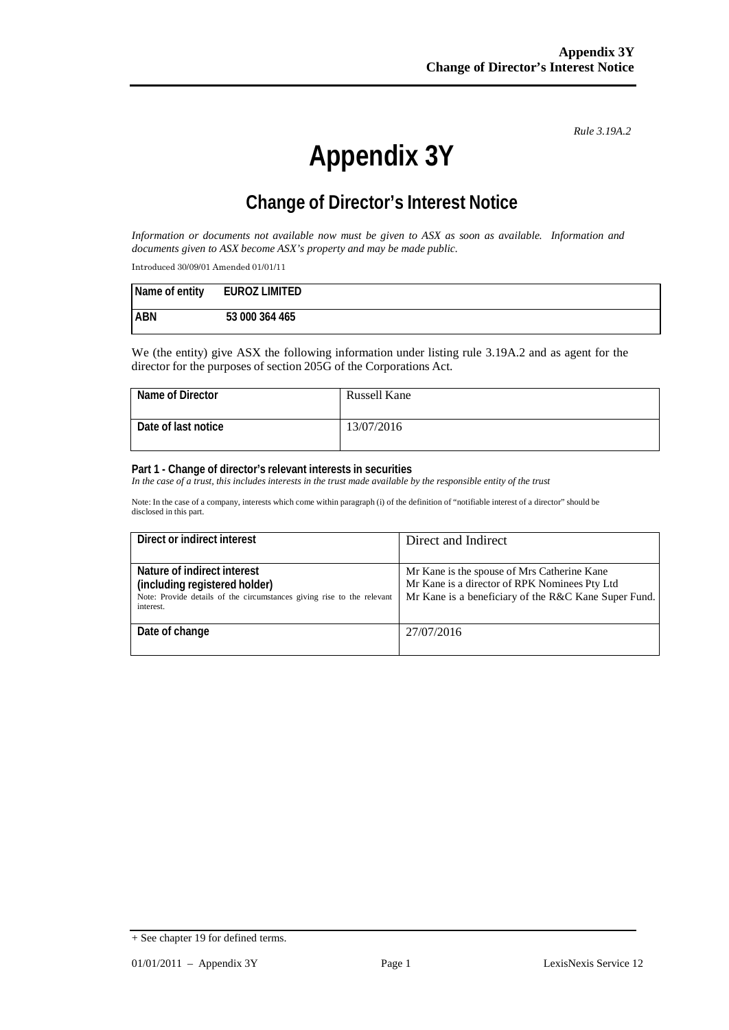*Rule 3.19A.2*

# **Appendix 3Y**

# **Change of Director's Interest Notice**

*Information or documents not available now must be given to ASX as soon as available. Information and documents given to ASX become ASX's property and may be made public.*

Introduced 30/09/01 Amended 01/01/11

| Name of entity | <b>EUROZ LIMITED</b> |
|----------------|----------------------|
| <b>ABN</b>     | 53 000 364 465       |

We (the entity) give ASX the following information under listing rule 3.19A.2 and as agent for the director for the purposes of section 205G of the Corporations Act.

| Name of Director    | Russell Kane |
|---------------------|--------------|
| Date of last notice | 13/07/2016   |
|                     |              |

#### **Part 1 - Change of director's relevant interests in securities**

In the case of a trust, this includes interests in the trust made available by the responsible entity of the trust

Note: In the case of a company, interests which come within paragraph (i) of the definition of "notifiable interest of a director" should be disclosed in this part.

| Direct or indirect interest                                                                                                                         | Direct and Indirect                                                                                                                                  |
|-----------------------------------------------------------------------------------------------------------------------------------------------------|------------------------------------------------------------------------------------------------------------------------------------------------------|
| Nature of indirect interest<br>(including registered holder)<br>Note: Provide details of the circumstances giving rise to the relevant<br>interest. | Mr Kane is the spouse of Mrs Catherine Kane<br>Mr Kane is a director of RPK Nominees Pty Ltd<br>Mr Kane is a beneficiary of the R&C Kane Super Fund. |
| Date of change                                                                                                                                      | 27/07/2016                                                                                                                                           |

<sup>+</sup> See chapter 19 for defined terms.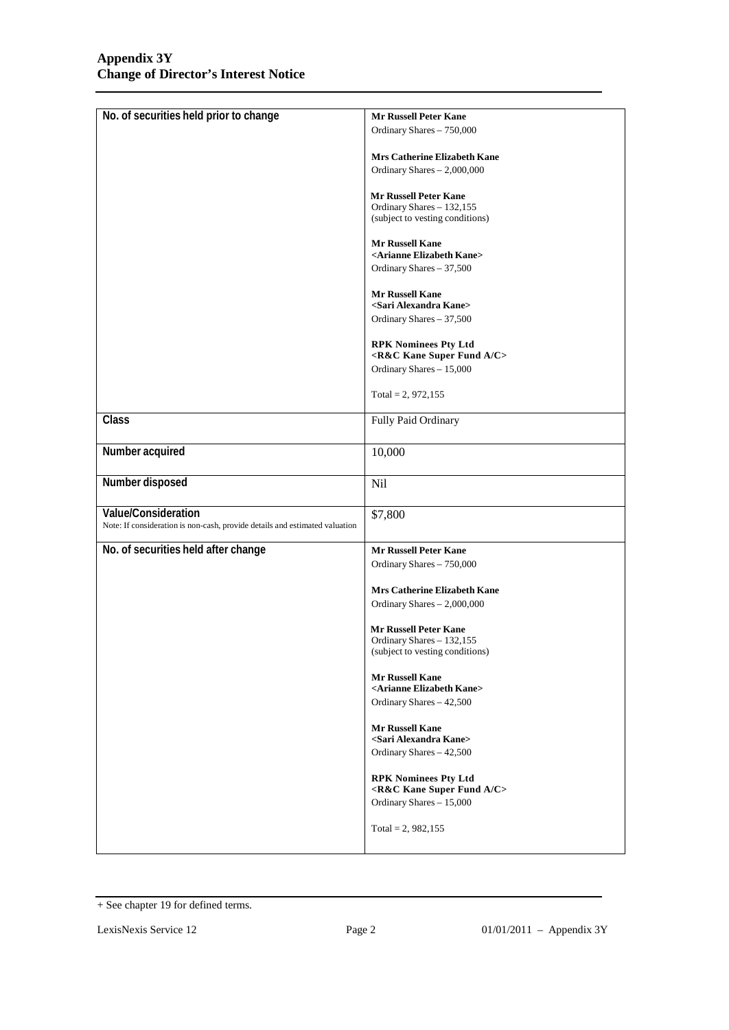| No. of securities held prior to change                                      | <b>Mr Russell Peter Kane</b>                                 |  |
|-----------------------------------------------------------------------------|--------------------------------------------------------------|--|
|                                                                             | Ordinary Shares - 750,000                                    |  |
|                                                                             |                                                              |  |
|                                                                             | <b>Mrs Catherine Elizabeth Kane</b>                          |  |
|                                                                             | Ordinary Shares $-2,000,000$                                 |  |
|                                                                             |                                                              |  |
|                                                                             | <b>Mr Russell Peter Kane</b>                                 |  |
|                                                                             | Ordinary Shares - 132,155<br>(subject to vesting conditions) |  |
|                                                                             |                                                              |  |
|                                                                             | <b>Mr Russell Kane</b>                                       |  |
|                                                                             | <arianne elizabeth="" kane=""></arianne>                     |  |
|                                                                             | Ordinary Shares - 37,500                                     |  |
|                                                                             |                                                              |  |
|                                                                             | <b>Mr Russell Kane</b>                                       |  |
|                                                                             | <sari alexandra="" kane=""></sari>                           |  |
|                                                                             | Ordinary Shares - 37,500                                     |  |
|                                                                             |                                                              |  |
|                                                                             | <b>RPK Nominees Pty Ltd</b>                                  |  |
|                                                                             | <r&c a="" c="" fund="" kane="" super=""></r&c>               |  |
|                                                                             | Ordinary Shares - 15,000                                     |  |
|                                                                             |                                                              |  |
|                                                                             | Total = 2, 972,155                                           |  |
| Class                                                                       | Fully Paid Ordinary                                          |  |
|                                                                             |                                                              |  |
|                                                                             |                                                              |  |
| Number acquired                                                             | 10,000                                                       |  |
|                                                                             |                                                              |  |
| Number disposed                                                             | Nil                                                          |  |
|                                                                             |                                                              |  |
| Value/Consideration                                                         | \$7,800                                                      |  |
| Note: If consideration is non-cash, provide details and estimated valuation |                                                              |  |
|                                                                             |                                                              |  |
| No. of securities held after change                                         | <b>Mr Russell Peter Kane</b>                                 |  |
|                                                                             | Ordinary Shares - 750,000                                    |  |
|                                                                             |                                                              |  |
|                                                                             | <b>Mrs Catherine Elizabeth Kane</b>                          |  |
|                                                                             | Ordinary Shares - 2,000,000                                  |  |
|                                                                             |                                                              |  |
|                                                                             | <b>Mr Russell Peter Kane</b>                                 |  |
|                                                                             | Ordinary Shares - 132,155                                    |  |
|                                                                             | (subject to vesting conditions)                              |  |
|                                                                             | Mr Russell Kane                                              |  |
|                                                                             | <arianne elizabeth="" kane=""></arianne>                     |  |
|                                                                             | Ordinary Shares - 42,500                                     |  |
|                                                                             |                                                              |  |
|                                                                             | <b>Mr Russell Kane</b>                                       |  |
|                                                                             | <sari alexandra="" kane=""></sari>                           |  |
|                                                                             | Ordinary Shares - 42,500                                     |  |
|                                                                             |                                                              |  |
|                                                                             | <b>RPK Nominees Pty Ltd</b>                                  |  |
|                                                                             | <r&c a="" c="" fund="" kane="" super=""></r&c>               |  |
|                                                                             | Ordinary Shares - 15,000                                     |  |
|                                                                             |                                                              |  |
|                                                                             | Total = 2, $982,155$                                         |  |
|                                                                             |                                                              |  |

<sup>+</sup> See chapter 19 for defined terms.